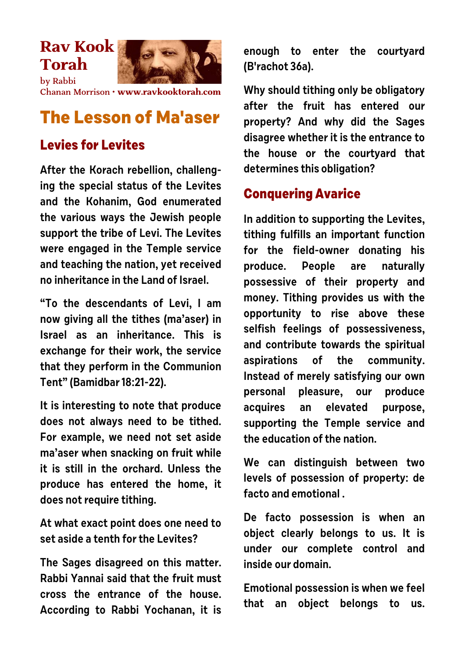## **Rav Kook Torah**



by Rabbi Chanan Morrison • **[www.ravkooktorah.com](http://www.ravkooktorah.com)**

## **The Lesson of Ma'aser**

## **Levies for Levites**

**After the Korach rebellion, challenging the special status of the Levites and the Kohanim, God enumerated the various ways the Jewish people support the tribe of Levi. The Levites were engaged in the Temple service and teaching the nation, yet received no inheritance in the Land of Israel.**

**"To the descendants of Levi, I am now giving all the tithes (ma'aser) in Israel as an inheritance. This is exchange for their work, the service that they perform in the Communion Tent" (Bamidbar 18:21-22).**

**It is interesting to note that produce does not always need to be tithed. For example, we need not set aside ma'aser when snacking on fruit while it is still in the orchard. Unless the produce has entered the home, it does not require tithing.**

**At what exact point does one need to set aside a tenth for the Levites?**

**The Sages disagreed on this matter. Rabbi Yannai said that the fruit must cross the entrance of the house. According to Rabbi Yochanan, it is** **enough to enter the courtyard (B'rachot 36a).**

**Why should tithing only be obligatory after the fruit has entered our property? And why did the Sages disagree whether it is the entrance to the house or the courtyard that determines this obligation?**

## **Conquering Avarice**

**In addition to supporting the Levites, tithing fulfills an important function for the field-owner donating his produce. People are naturally possessive of their property and money. Tithing provides us with the opportunity to rise above these selfish feelings of possessiveness, and contribute towards the spiritual aspirations of the community. Instead of merely satisfying our own personal pleasure, our produce acquires an elevated purpose, supporting the Temple service and the education of the nation.**

**We can distinguish between two levels of possession of property: de facto and emotional .**

**De facto possession is when an object clearly belongs to us. It is under our complete control and inside our domain.**

**Emotional possession is when we feel that an object belongs to us.**